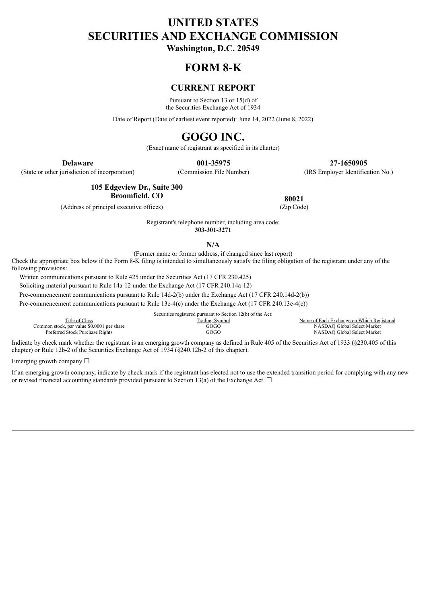# **UNITED STATES SECURITIES AND EXCHANGE COMMISSION**

**Washington, D.C. 20549**

### **FORM 8-K**

### **CURRENT REPORT**

Pursuant to Section 13 or 15(d) of the Securities Exchange Act of 1934

Date of Report (Date of earliest event reported): June 14, 2022 (June 8, 2022)

## **GOGO INC.**

(Exact name of registrant as specified in its charter)

(State or other jurisdiction of incorporation) (Commission File Number) (IRS Employer Identification No.)

**Delaware 001-35975 27-1650905**

**105 Edgeview Dr., Suite 300 Broomfield, CO** 80021

(Address of principal executive offices) (Zip Code)

Registrant's telephone number, including area code:

**303-301-3271**

**N/A**

(Former name or former address, if changed since last report)

Check the appropriate box below if the Form 8-K filing is intended to simultaneously satisfy the filing obligation of the registrant under any of the following provisions:

Written communications pursuant to Rule 425 under the Securities Act (17 CFR 230.425)

Soliciting material pursuant to Rule 14a-12 under the Exchange Act (17 CFR 240.14a-12)

Pre-commencement communications pursuant to Rule 14d-2(b) under the Exchange Act (17 CFR 240.14d-2(b))

Pre-commencement communications pursuant to Rule 13e-4(c) under the Exchange Act (17 CFR 240.13e-4(c))

Securities registered pursuant to Section 12(b) of the Act: Trading Symbol Trading Symbol Name of Each Exchange on Which Registered<br>
Trading Symbol COGO Name of Each Exchange on Which Registered<br>
NASDAQ Global Select Market Common stock, par value \$0.0001 per share GOGO NASDAQ GOGO Preferred Stock Purchase Rights GOGO NASDAQ Global Select Market

Indicate by check mark whether the registrant is an emerging growth company as defined in Rule 405 of the Securities Act of 1933 (§230.405 of this chapter) or Rule 12b-2 of the Securities Exchange Act of 1934 (§240.12b-2 of this chapter).

Emerging growth company  $\Box$ 

If an emerging growth company, indicate by check mark if the registrant has elected not to use the extended transition period for complying with any new or revised financial accounting standards provided pursuant to Section 13(a) of the Exchange Act.  $\Box$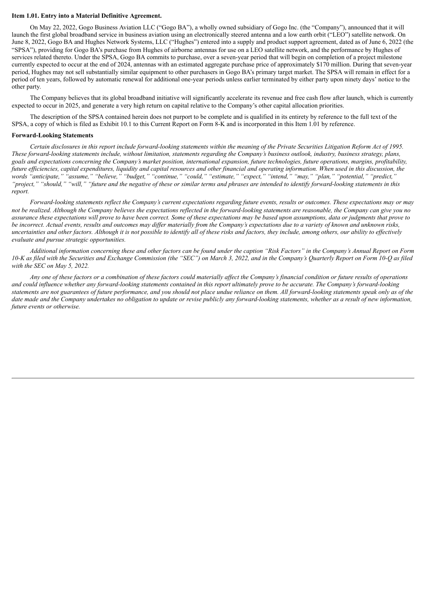#### **Item 1.01. Entry into a Material Definitive Agreement.**

On May 22, 2022, Gogo Business Aviation LLC ("Gogo BA"), a wholly owned subsidiary of Gogo Inc. (the "Company"), announced that it will launch the first global broadband service in business aviation using an electronically steered antenna and a low earth orbit ("LEO") satellite network. On June 8, 2022, Gogo BA and Hughes Network Systems, LLC ("Hughes") entered into a supply and product support agreement, dated as of June 6, 2022 (the "SPSA"), providing for Gogo BA's purchase from Hughes of airborne antennas for use on a LEO satellite network, and the performance by Hughes of services related thereto. Under the SPSA, Gogo BA commits to purchase, over a seven-year period that will begin on completion of a project milestone currently expected to occur at the end of 2024, antennas with an estimated aggregate purchase price of approximately \$170 million. During that seven-year period, Hughes may not sell substantially similar equipment to other purchasers in Gogo BA's primary target market. The SPSA will remain in effect for a period of ten years, followed by automatic renewal for additional one-year periods unless earlier terminated by either party upon ninety days' notice to the other party.

The Company believes that its global broadband initiative will significantly accelerate its revenue and free cash flow after launch, which is currently expected to occur in 2025, and generate a very high return on capital relative to the Company's other capital allocation priorities.

The description of the SPSA contained herein does not purport to be complete and is qualified in its entirety by reference to the full text of the SPSA, a copy of which is filed as Exhibit 10.1 to this Current Report on Form 8-K and is incorporated in this Item 1.01 by reference.

#### **Forward-Looking Statements**

Certain disclosures in this report include forward-looking statements within the meaning of the Private Securities Litigation Reform Act of 1995. These forward-looking statements include, without limitation, statements regarding the Company's business outlook, industry, business strategy, plans, goals and expectations concerning the Company's market position, international expansion, future technologies, future operations, margins, profitability, future efficiencies, capital expenditures, liquidity and capital resources and other financial and operating information. When used in this discussion, the words "anticipate," "assume," "believe," "budget," "continue," "could," "estimate," "expect," "intend," "may," "plan," "potential," "predict," "project," "should," "will," "future and the negative of these or similar terms and phrases are intended to identify forward-looking statements in this *report.*

Forward-looking statements reflect the Company's current expectations regarding future events, results or outcomes. These expectations may or may not be realized. Although the Company believes the expectations reflected in the forward-looking statements are reasonable, the Company can give you no assurance these expectations will prove to have been correct. Some of these expectations may be based upon assumptions, data or judgments that prove to be incorrect. Actual events, results and outcomes may differ materially from the Company's expectations due to a variety of known and unknown risks, uncertainties and other factors. Although it is not possible to identify all of these risks and factors, they include, among others, our ability to effectively *evaluate and pursue strategic opportunities.*

Additional information concerning these and other factors can be found under the caption "Risk Factors" in the Company's Annual Report on Form 10-C as filed with the Securities and Exchange Commission (the "SEC") on March 3, 2022, and in the Company's Quarterly Report on Form 10-Q as filed *with the SEC on May 5, 2022.*

Any one of these factors or a combination of these factors could materially affect the Company's financial condition or future results of operations and could influence whether any forward-looking statements contained in this report ultimately prove to be accurate. The Company's forward-looking statements are not guarantees of future performance, and you should not place undue reliance on them. All forward-looking statements speak only as of the date made and the Company undertakes no obligation to update or revise publicly any forward-looking statements, whether as a result of new information, *future events or otherwise.*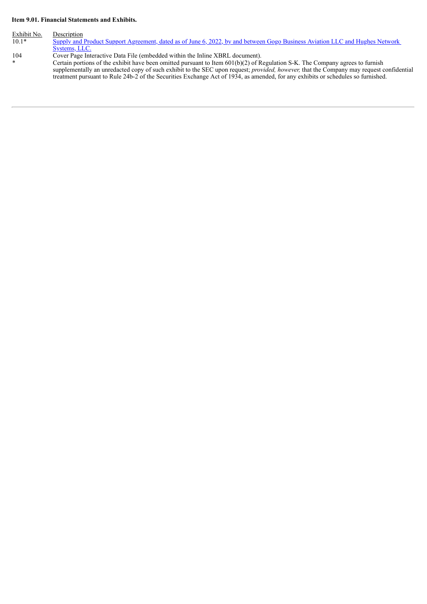#### **Item 9.01. Financial Statements and Exhibits.**

Exhibit No. Description<br>10.1\* Supply and Supply and Product Support [Agreement,](#page-4-0) dated as of June 6, 2022, by and between Gogo Business Aviation LLC and Hughes Network Systems, LLC.

104 Cover Page Interactive Data File (embedded within the Inline XBRL document).

\* Certain portions of the exhibit have been omitted pursuant to Item 601(b)(2) of Regulation S-K. The Company agrees to furnish supplementally an unredacted copy of such exhibit to the SEC upon request; *provided, however,* that the Company may request confidential treatment pursuant to Rule 24b-2 of the Securities Exchange Act of 1934, as amended, for any exhibits or schedules so furnished.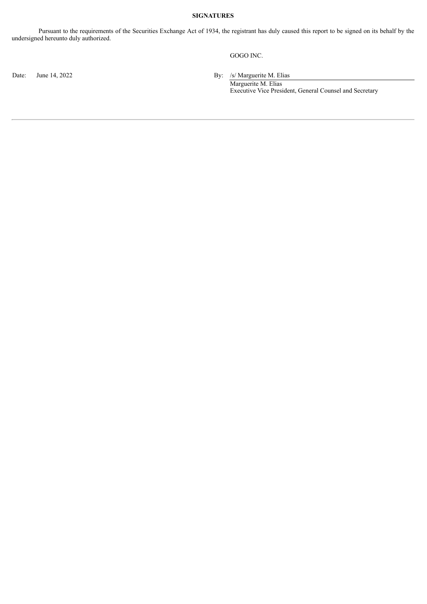#### **SIGNATURES**

Pursuant to the requirements of the Securities Exchange Act of 1934, the registrant has duly caused this report to be signed on its behalf by the undersigned hereunto duly authorized.

GOGO INC.

Date: June 14, 2022 By: /s/ Marguerite M. Elias

Marguerite M. Elias Executive Vice President, General Counsel and Secretary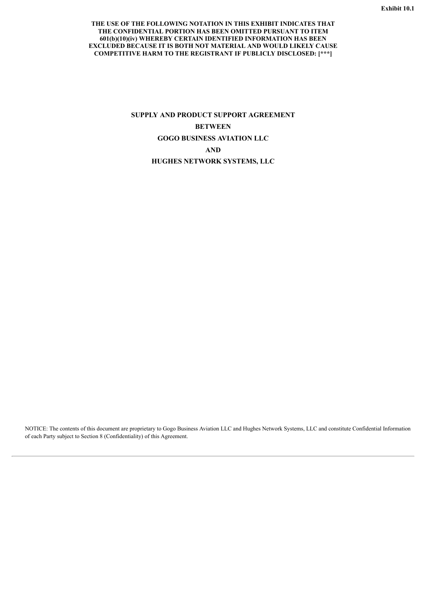#### <span id="page-4-0"></span>**THE USE OF THE FOLLOWING NOTATION IN THIS EXHIBIT INDICATES THAT THE CONFIDENTIAL PORTION HAS BEEN OMITTED PURSUANT TO ITEM 601(b)(10)(iv) WHEREBY CERTAIN IDENTIFIED INFORMATION HAS BEEN EXCLUDED BECAUSE IT IS BOTH NOT MATERIAL AND WOULD LIKELY CAUSE COMPETITIVE HARM TO THE REGISTRANT IF PUBLICLY DISCLOSED: [\*\*\*]**

### **SUPPLY AND PRODUCT SUPPORT AGREEMENT BETWEEN GOGO BUSINESS AVIATION LLC AND HUGHES NETWORK SYSTEMS, LLC**

NOTICE: The contents of this document are proprietary to Gogo Business Aviation LLC and Hughes Network Systems, LLC and constitute Confidential Information of each Party subject to Section 8 (Confidentiality) of this Agreement.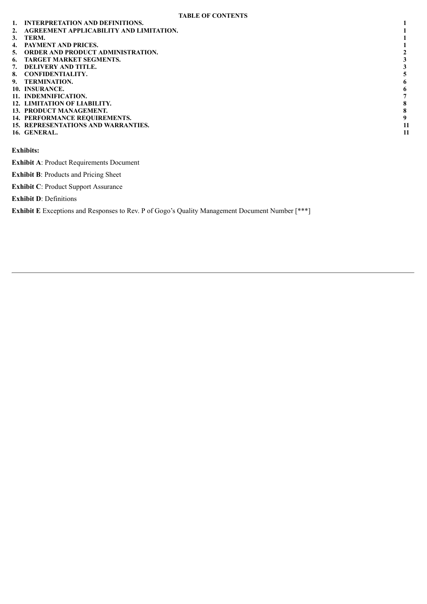- **1. INTERPRETATION AND DEFINITIONS. 1**
- **2. AGREEMENT APPLICABILITY AND LIMITATION. 1**
- **3. TERM. 1**
- 
- **4. PAYMENT AND PRICES. 1 5. ORDER AND PRODUCT ADMINISTRATION. 2 6. TARGET MARKET SEGMENTS. 3**
- 
- 
- **7. DELIVERY AND TITLE. 3**
- **8. CONFIDENTIALITY. 5**
- 
- **9. TERMINATION.** 6<br>10. INSURANCE. 6<br>11. INDEMNIFICATION. 7 **10. INSURANCE. 6**
- **11. INDEMNIFICATION. 7**
- **12. LIMITATION OF LIABILITY. 8**
- **13. PRODUCT MANAGEMENT. 8**
- **14. PERFORMANCE REQUIREMENTS. 9 15. REPRESENTATIONS AND WARRANTIES. 11**
- **16. GENERAL. 11**

**Exhibits:**

**Exhibit A**: Product Requirements Document

**Exhibit B**: Products and Pricing Sheet

**Exhibit C**: Product Support Assurance

**Exhibit D**: Definitions

**Exhibit E** Exceptions and Responses to Rev. P of Gogo's Quality Management Document Number [\*\*\*]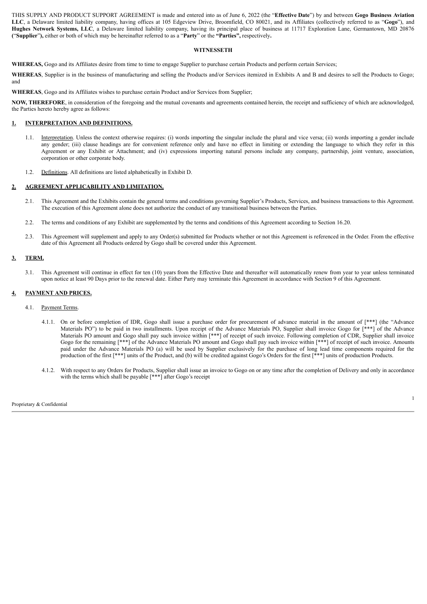THIS SUPPLY AND PRODUCT SUPPORT AGREEMENT is made and entered into as of June 6, 2022 (the "**Effective Date**") by and between **Gogo Business Aviation LLC**, a Delaware limited liability company, having offices at 105 Edgeview Drive, Broomfield, CO 80021, and its Affiliates (collectively referred to as "**Gogo**"), and **Hughes Network Systems, LLC**, a Delaware limited liability company, having its principal place of business at 11717 Exploration Lane, Germantown, MD 20876 **(**"**Supplier**"**),** either or both of which may be hereinafter referred to as a "**Party**" or the **"Parties",** respectively**.**

#### **WITNESSETH**

**WHEREAS,** Gogo and its Affiliates desire from time to time to engage Supplier to purchase certain Products and perform certain Services;

**WHEREAS**, Supplier is in the business of manufacturing and selling the Products and/or Services itemized in Exhibits A and B and desires to sell the Products to Gogo; and

**WHEREAS**, Gogo and its Affiliates wishes to purchase certain Product and/or Services from Supplier;

**NOW, THEREFORE**, in consideration of the foregoing and the mutual covenants and agreements contained herein, the receipt and sufficiency of which are acknowledged, the Parties hereto hereby agree as follows:

#### **1. INTERPRETATION AND DEFINITIONS.**

- 1.1. Interpretation. Unless the context otherwise requires: (i) words importing the singular include the plural and vice versa; (ii) words importing a gender include any gender; (iii) clause headings are for convenient reference only and have no effect in limiting or extending the language to which they refer in this Agreement or any Exhibit or Attachment; and (iv) expressions importing natural persons include any company, partnership, joint venture, association, corporation or other corporate body.
- 1.2. Definitions. All definitions are listed alphabetically in Exhibit D.

#### **2. AGREEMENT APPLICABILITY AND LIMITATION.**

- 2.1. This Agreement and the Exhibits contain the general terms and conditions governing Supplier's Products, Services, and business transactions to this Agreement. The execution of this Agreement alone does not authorize the conduct of any transitional business between the Parties.
- 2.2. The terms and conditions of any Exhibit are supplemented by the terms and conditions of this Agreement according to Section 16.20.
- 2.3. This Agreement will supplement and apply to any Order(s) submitted for Products whether or not this Agreement is referenced in the Order. From the effective date of this Agreement all Products ordered by Gogo shall be covered under this Agreement.

#### **3. TERM.**

3.1. This Agreement will continue in effect for ten (10) years from the Effective Date and thereafter will automatically renew from year to year unless terminated upon notice at least 90 Days prior to the renewal date. Either Party may terminate this Agreement in accordance with Section 9 of this Agreement.

#### **4. PAYMENT AND PRICES.**

- 4.1. Payment Terms.
	- 4.1.1. On or before completion of IDR, Gogo shall issue a purchase order for procurement of advance material in the amount of [\*\*\*] (the "Advance Materials PO") to be paid in two installments. Upon receipt of the Advance Materials PO, Supplier shall invoice Gogo for [\*\*\*] of the Advance Materials PO amount and Gogo shall pay such invoice within [\*\*\*] of receipt of such invoice. Following completion of CDR, Supplier shall invoice Gogo for the remaining [\*\*\*] of the Advance Materials PO amount and Gogo shall pay such invoice within [\*\*\*] of receipt of such invoice. Amounts paid under the Advance Materials PO (a) will be used by Supplier exclusively for the purchase of long lead time components required for the production of the first [\*\*\*] units of the Product, and (b) will be credited against Gogo's Orders for the first [\*\*\*] units of production Products.
	- 4.1.2. With respect to any Orders for Products, Supplier shall issue an invoice to Gogo on or any time after the completion of Delivery and only in accordance with the terms which shall be payable  $[***]$  after Gogo's receipt

Proprietary & Confidential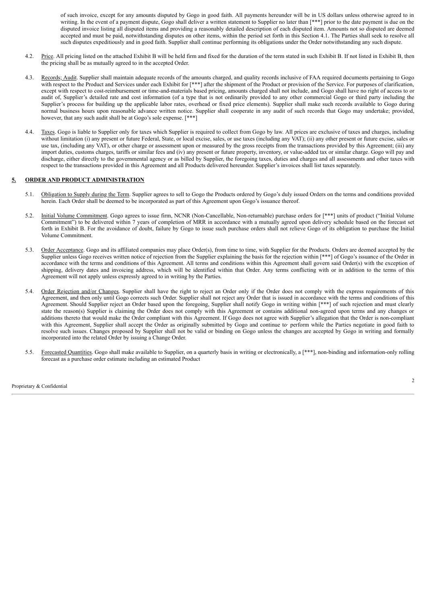of such invoice, except for any amounts disputed by Gogo in good faith. All payments hereunder will be in US dollars unless otherwise agreed to in writing. In the event of a payment dispute, Gogo shall deliver a written statement to Supplier no later than [\*\*\*] prior to the date payment is due on the disputed invoice listing all disputed items and providing a reasonably detailed description of each disputed item. Amounts not so disputed are deemed accepted and must be paid, notwithstanding disputes on other items, within the period set forth in this Section 4.1. The Parties shall seek to resolve all such disputes expeditiously and in good faith. Supplier shall continue performing its obligations under the Order notwithstanding any such dispute.

- 4.2. Price. All pricing listed on the attached Exhibit B will be held firm and fixed for the duration of the term stated in such Exhibit B. If not listed in Exhibit B, then the pricing shall be as mutually agreed to in the accepted Order.
- 4.3. Records; Audit. Supplier shall maintain adequate records of the amounts charged, and quality records inclusive of FAA required documents pertaining to Gogo with respect to the Product and Services under each Exhibit for [\*\*\*] after the shipment of the Product or provision of the Service. For purposes of clarification, except with respect to cost-reimbursement or time-and-materials based pricing, amounts charged shall not include, and Gogo shall have no right of access to or audit of, Supplier's detailed rate and cost information (of a type that is not ordinarily provided to any other commercial Gogo or third party including the Supplier's process for building up the applicable labor rates, overhead or fixed price elements). Supplier shall make such records available to Gogo during normal business hours upon reasonable advance written notice. Supplier shall cooperate in any audit of such records that Gogo may undertake; provided, however, that any such audit shall be at Gogo's sole expense. [\*\*\*]
- 4.4. Taxes. Gogo is liable to Supplier only for taxes which Supplier is required to collect from Gogo by law. All prices are exclusive of taxes and charges, including without limitation (i) any present or future Federal, State, or local excise, sales, or use taxes (including any VAT); (ii) any other present or future excise, sales or use tax, (including any VAT), or other charge or assessment upon or measured by the gross receipts from the transactions provided by this Agreement; (iii) any import duties, customs charges, tariffs or similar fees and (iv) any present or future property, inventory, or value-added tax or similar charge. Gogo will pay and discharge, either directly to the governmental agency or as billed by Supplier, the foregoing taxes, duties and charges and all assessments and other taxes with respect to the transactions provided in this Agreement and all Products delivered hereunder. Supplier's invoices shall list taxes separately.

#### **5. ORDER AND PRODUCT ADMINISTRATION**

- 5.1. Obligation to Supply during the Term. Supplier agrees to sell to Gogo the Products ordered by Gogo's duly issued Orders on the terms and conditions provided herein. Each Order shall be deemed to be incorporated as part of this Agreement upon Gogo's issuance thereof.
- 5.2. Initial Volume Commitment. Gogo agrees to issue firm, NCNR (Non-Cancellable, Non-returnable) purchase orders for [\*\*\*] units of product ("Initial Volume Commitment") to be delivered within 7 years of completion of MRR in accordance with a mutually agreed upon delivery schedule based on the forecast set forth in Exhibit B. For the avoidance of doubt, failure by Gogo to issue such purchase orders shall not relieve Gogo of its obligation to purchase the Initial Volume Commitment.
- 5.3. Order Acceptance. Gogo and its affiliated companies may place Order(s), from time to time, with Supplier for the Products. Orders are deemed accepted by the Supplier unless Gogo receives written notice of rejection from the Supplier explaining the basis for the rejection within [\*\*\*] of Gogo's issuance of the Order in accordance with the terms and conditions of this Agreement. All terms and conditions within this Agreement shall govern said Order(s) with the exception of shipping, delivery dates and invoicing address, which will be identified within that Order. Any terms conflicting with or in addition to the terms of this Agreement will not apply unless expressly agreed to in writing by the Parties.
- 5.4. Order Rejection and/or Changes. Supplier shall have the right to reject an Order only if the Order does not comply with the express requirements of this Agreement, and then only until Gogo corrects such Order. Supplier shall not reject any Order that is issued in accordance with the terms and conditions of this Agreement. Should Supplier reject an Order based upon the foregoing, Supplier shall notify Gogo in writing within [\*\*\*] of such rejection and must clearly state the reason(s) Supplier is claiming the Order does not comply with this Agreement or contains additional non-agreed upon terms and any changes or additions thereto that would make the Order compliant with this Agreement. If Gogo does not agree with Supplier's allegation that the Order is non-compliant with this Agreement, Supplier shall accept the Order as originally submitted by Gogo and continue to perform while the Parties negotiate in good faith to resolve such issues. Changes proposed by Supplier shall not be valid or binding on Gogo unless the changes are accepted by Gogo in writing and formally incorporated into the related Order by issuing a Change Order.
- 5.5. Forecasted Quantities. Gogo shall make available to Supplier, on a quarterly basis in writing or electronically, a [\*\*\*], non-binding and information-only rolling forecast as a purchase order estimate including an estimated Product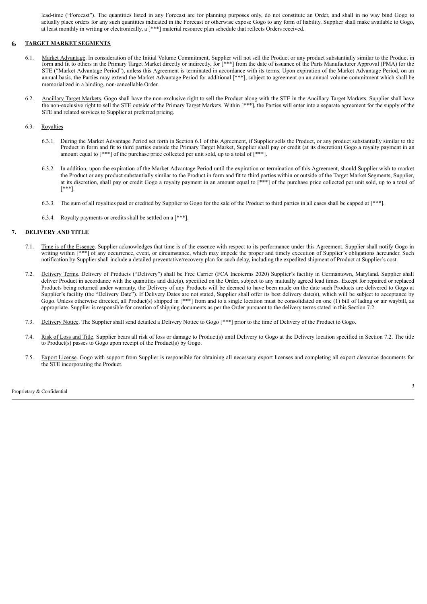lead-time ("Forecast"). The quantities listed in any Forecast are for planning purposes only, do not constitute an Order, and shall in no way bind Gogo to actually place orders for any such quantities indicated in the Forecast or otherwise expose Gogo to any form of liability. Supplier shall make available to Gogo, at least monthly in writing or electronically, a [\*\*\*] material resource plan schedule that reflects Orders received.

#### **6. TARGET MARKET SEGMENTS**

- 6.1. Market Advantage. In consideration of the Initial Volume Commitment, Supplier will not sell the Product or any product substantially similar to the Product in form and fit to others in the Primary Target Market directly or indirectly, for [\*\*\*] from the date of issuance of the Parts Manufacturer Approval (PMA) for the STE ("Market Advantage Period"), unless this Agreement is terminated in accordance with its terms. Upon expiration of the Market Advantage Period, on an annual basis, the Parties may extend the Market Advantage Period for additional [\*\*\*], subject to agreement on an annual volume commitment which shall be memorialized in a binding, non-cancellable Order.
- 6.2. Ancillary Target Markets. Gogo shall have the non-exclusive right to sell the Product along with the STE in the Ancillary Target Markets. Supplier shall have the non-exclusive right to sell the STE outside of the Primary Target Markets. Within [\*\*\*], the Parties will enter into a separate agreement for the supply of the STE and related services to Supplier at preferred pricing.

#### 6.3. Royalties

- 6.3.1. During the Market Advantage Period set forth in Section 6.1 of this Agreement, if Supplier sells the Product, or any product substantially similar to the Product in form and fit to third parties outside the Primary Target Market, Supplier shall pay or credit (at its discretion) Gogo a royalty payment in an amount equal to [\*\*\*] of the purchase price collected per unit sold, up to a total of [\*\*\*].
- 6.3.2. In addition, upon the expiration of the Market Advantage Period until the expiration or termination of this Agreement, should Supplier wish to market the Product or any product substantially similar to the Product in form and fit to third parties within or outside of the Target Market Segments, Supplier, at its discretion, shall pay or credit Gogo a royalty payment in an amount equal to [\*\*\*] of the purchase price collected per unit sold, up to a total of [\*\*\*].
- 6.3.3. The sum of all royalties paid or credited by Supplier to Gogo for the sale of the Product to third parties in all cases shall be capped at [\*\*\*].
- 6.3.4. Royalty payments or credits shall be settled on a [\*\*\*].

#### **7. DELIVERY AND TITLE**

- 7.1. Time is of the Essence. Supplier acknowledges that time is of the essence with respect to its performance under this Agreement. Supplier shall notify Gogo in writing within [\*\*\*] of any occurrence, event, or circumstance, which may impede the proper and timely execution of Supplier's obligations hereunder. Such notification by Supplier shall include a detailed preventative/recovery plan for such delay, including the expedited shipment of Product at Supplier's cost.
- 7.2. Delivery Terms. Delivery of Products ("Delivery") shall be Free Carrier (FCA Incoterms 2020) Supplier's facility in Germantown, Maryland. Supplier shall deliver Product in accordance with the quantities and date(s), specified on the Order, subject to any mutually agreed lead times. Except for repaired or replaced Products being returned under warranty, the Delivery of any Products will be deemed to have been made on the date such Products are delivered to Gogo at Supplier's facility (the "Delivery Date"). If Delivery Dates are not stated, Supplier shall offer its best delivery date(s), which will be subject to acceptance by Gogo. Unless otherwise directed, all Product(s) shipped in [\*\*\*] from and to a single location must be consolidated on one (1) bill of lading or air waybill, as appropriate. Supplier is responsible for creation of shipping documents as per the Order pursuant to the delivery terms stated in this Section 7.2.
- 7.3. Delivery Notice. The Supplier shall send detailed a Delivery Notice to Gogo [\*\*\*] prior to the time of Delivery of the Product to Gogo.
- 7.4. Risk of Loss and Title. Supplier bears all risk of loss or damage to Product(s) until Delivery to Gogo at the Delivery location specified in Section 7.2. The title to Product(s) passes to Gogo upon receipt of the Product(s) by Gogo.
- 7.5. Export License. Gogo with support from Supplier is responsible for obtaining all necessary export licenses and completing all export clearance documents for the STE incorporating the Product.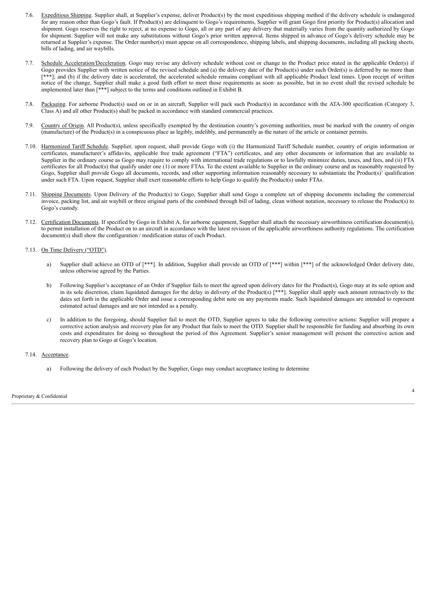- 7.6. Expeditious Shipping. Supplier shall, at Supplier's expense, deliver Product(s) by the most expeditious shipping method if the delivery schedule is endangered for any reason other than Gogo's fault. If Product(s) are delinquent to Gogo's requirements, Supplier will grant Gogo first priority for Product(s) allocation and shipment. Gogo reserves the right to reject, at no expense to Gogo, all or any part of any delivery that materially varies from the quantity authorized by Gogo for shipment. Supplier will not make any substitutions without Gogo's prior written approval. Items shipped in advance of Gogo's delivery schedule may be returned at Supplier's expense. The Order number(s) must appear on all correspondence, shipping labels, and shipping documents, including all packing sheets, bills of lading, and air waybills.
- 7.7. Schedule Acceleration/Deceleration. Gogo may revise any delivery schedule without cost or change to the Product price stated in the applicable Order(s) if Gogo provides Supplier with written notice of the revised schedule and (a) the delivery date of the Product(s) under such Order(s) is deferred by no more than [\*\*\*]; and (b) if the delivery date is accelerated, the accelerated schedule remains compliant with all applicable Product lead times. Upon receipt of written notice of the change, Supplier shall make a good faith effort to meet those requirements as soon· as possible, but in no event shall the revised schedule be implemented later than [\*\*\*] subject to the terms and conditions outlined in Exhibit B.
- 7.8. Packaging. For airborne Product(s) used on or in an aircraft, Supplier will pack such Product(s) in accordance with the ATA-300 specification (Category 3, Class A) and all other Product(s) shall be packed in accordance with standard commercial practices.
- 7.9. Country of Origin. All Product(s), unless specifically exempted by the destination country's governing authorities, must be marked with the country of origin (manufacture) of the Product(s) in a conspicuous place as legibly, indelibly, and permanently as the nature of the article or container permits.
- 7.10. Harmonized Tariff Schedule. Supplier, upon request, shall provide Gogo with (i) the Harmonized Tariff Schedule number, country of origin information or certificates, manufacturer's affidavits, applicable free trade agreement ("FTA") certificates, and any other documents or information that are available to Supplier in the ordinary course as Gogo may require to comply with international trade regulations or to lawfully minimize duties, taxes, and fees, and (ii) FTA certificates for all Product(s) that qualify under one (1) or more FTAs. To the extent available to Supplier in the ordinary course and as reasonably requested by Gogo, Supplier shall provide Gogo all documents, records, and other supporting information reasonably necessary to substantiate the Product(s)' qualification under such FTA. Upon request, Supplier shall exert reasonable efforts to help Gogo to qualify the Product(s) under FTAs.
- 7.11. Shipping Documents. Upon Delivery of the Product(s) to Gogo, Supplier shall send Gogo a complete set of shipping documents including the commercial invoice, packing list, and air waybill or three original parts of the combined through bill of lading, clean without notation, necessary to release the Product(s) to Gogo's custody.
- 7.12. Certification Documents. If specified by Gogo in Exhibit A, for airborne equipment, Supplier shall attach the necessary airworthiness certification document(s), to permit installation of the Product on to an aircraft in accordance with the latest revision of the applicable airworthiness authority regulations. The certification document(s) shall show the configuration / modification status of each Product.

#### 7.13. On Time Delivery ("OTD").

- a) Supplier shall achieve an OTD of [\*\*\*]. In addition, Supplier shall provide an OTD of [\*\*\*] within [\*\*\*] of the acknowledged Order delivery date, unless otherwise agreed by the Parties.
- b) Following Supplier's acceptance of an Order if Supplier fails to meet the agreed upon delivery dates for the Product(s), Gogo may at its sole option and in its sole discretion, claim liquidated damages for the delay in delivery of the Product(s) [\*\*\*]. Supplier shall apply such amount retroactively to the dates set forth in the applicable Order and issue a corresponding debit note on any payments made. Such liquidated damages are intended to represent estimated actual damages and are not intended as a penalty.
- c) In addition to the foregoing, should Supplier fail to meet the OTD, Supplier agrees to take the following corrective actions: Supplier will prepare a corrective action analysis and recovery plan for any Product that fails to meet the OTD. Supplier shall be responsible for funding and absorbing its own costs and expenditures for doing so throughout the period of this Agreement. Supplier's senior management will present the corrective action and recovery plan to Gogo at Gogo's location.

#### 7.14. Acceptance.

a) Following the delivery of each Product by the Supplier, Gogo may conduct acceptance testing to determine

Proprietary & Confidential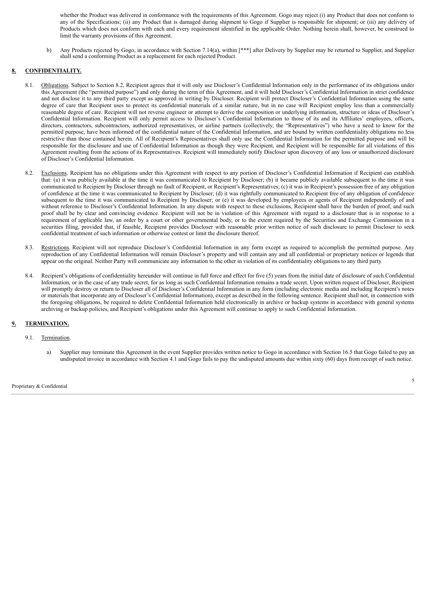whether the Product was delivered in conformance with the requirements of this Agreement. Gogo may reject (i) any Product that does not conform to any of the Specifications; (ii) any Product that is damaged during shipment to Gogo if Supplier is responsible for shipment; or (iii) any delivery of Products which does not conform with each and every requirement identified in the applicable Order. Nothing herein shall, however, be construed to limit the warranty provisions of this Agreement.

b) Any Products rejected by Gogo, in accordance with Section 7.14(a), within [\*\*\*] after Delivery by Supplier may be returned to Supplier, and Supplier shall send a conforming Product as a replacement for each rejected Product.

#### **8. CONFIDENTIALITY.**

- 8.1. Obligations. Subject to Section 8.2, Recipient agrees that it will only use Discloser's Confidential Information only in the performance of its obligations under this Agreement (the "permitted purpose") and only during the term of this Agreement, and it will hold Discloser's Confidential Information in strict confidence and not disclose it to any third party except as approved in writing by Discloser. Recipient will protect Discloser's Confidential Information using the same degree of care that Recipient uses to protect its confidential materials of a similar nature, but in no case will Recipient employ less than a commercially reasonable degree of care. Recipient will not reverse engineer or attempt to derive the composition or underlying information, structure or ideas of Discloser's Confidential Information. Recipient will only permit access to Discloser's Confidential Information to those of its and its Affiliates' employees, officers, directors, contractors, subcontractors, authorized representatives, or airline partners (collectively, the "Representatives") who have a need to know for the permitted purpose, have been informed of the confidential nature of the Confidential Information, and are bound by written confidentiality obligations no less restrictive than those contained herein. All of Recipient's Representatives shall only use the Confidential Information for the permitted purpose and will be responsible for the disclosure and use of Confidential Information as though they were Recipient, and Recipient will be responsible for all violations of this Agreement resulting from the actions of its Representatives. Recipient will immediately notify Discloser upon discovery of any loss or unauthorized disclosure of Discloser's Confidential Information.
- 8.2. Exclusions. Recipient has no obligations under this Agreement with respect to any portion of Discloser's Confidential Information if Recipient can establish that: (a) it was publicly available at the time it was communicated to Recipient by Discloser; (b) it became publicly available subsequent to the time it was communicated to Recipient by Discloser through no fault of Recipient, or Recipient's Representatives; (c) it was in Recipient's possession free of any obligation of confidence at the time it was communicated to Recipient by Discloser; (d) it was rightfully communicated to Recipient free of any obligation of confidence subsequent to the time it was communicated to Recipient by Discloser; or (e) it was developed by employees or agents of Recipient independently of and without reference to Discloser's Confidential Information. In any dispute with respect to these exclusions, Recipient shall have the burden of proof, and such proof shall be by clear and convincing evidence. Recipient will not be in violation of this Agreement with regard to a disclosure that is in response to a requirement of applicable law, an order by a court or other governmental body, or to the extent required by the Securities and Exchange Commission in a securities filing, provided that, if feasible, Recipient provides Discloser with reasonable prior written notice of such disclosure to permit Discloser to seek confidential treatment of such information or otherwise contest or limit the disclosure thereof.
- 8.3. Restrictions. Recipient will not reproduce Discloser's Confidential Information in any form except as required to accomplish the permitted purpose. Any reproduction of any Confidential Information will remain Discloser's property and will contain any and all confidential or proprietary notices or legends that appear on the original. Neither Party will communicate any information to the other in violation of its confidentiality obligations to any third party.
- 8.4. Recipient's obligations of confidentiality hereunder will continue in full force and effect for five (5) years from the initial date of disclosure of such Confidential Information, or in the case of any trade secret, for as long as such Confidential Information remains a trade secret. Upon written request of Discloser, Recipient will promptly destroy or return to Discloser all of Discloser's Confidential Information in any form (including electronic media and including Recipient's notes or materials that incorporate any of Discloser's Confidential Information), except as described in the following sentence. Recipient shall not, in connection with the foregoing obligations, be required to delete Confidential Information held electronically in archive or backup systems in accordance with general systems archiving or backup policies, and Recipient's obligations under this Agreement will continue to apply to such Confidential Information.

### **9. TERMINATION.**

#### 9.1. Termination.

a) Supplier may terminate this Agreement in the event Supplier provides written notice to Gogo in accordance with Section 16.5 that Gogo failed to pay an undisputed invoice in accordance with Section 4.1 and Gogo fails to pay the undisputed amounts due within sixty (60) days from receipt of such notice.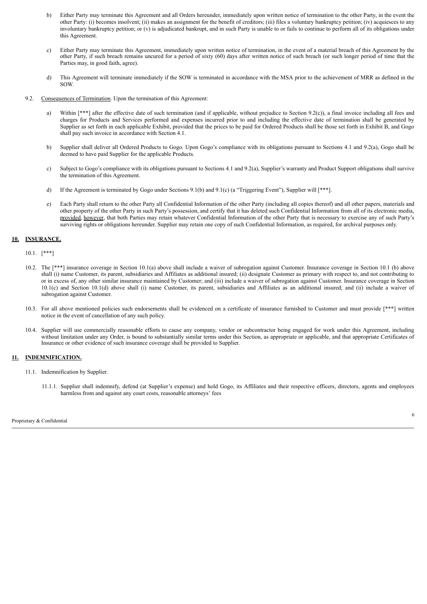- b) Either Party may terminate this Agreement and all Orders hereunder, immediately upon written notice of termination to the other Party, in the event the other Party: (i) becomes insolvent; (ii) makes an assignment for the benefit of creditors; (iii) files a voluntary bankruptcy petition; (iv) acquiesces to any involuntary bankruptcy petition; or (v) is adjudicated bankrupt, and in such Party is unable to or fails to continue to perform all of its obligations under this Agreement.
- c) Either Party may terminate this Agreement, immediately upon written notice of termination, in the event of a material breach of this Agreement by the other Party, if such breach remains uncured for a period of sixty (60) days after written notice of such breach (or such longer period of time that the Parties may, in good faith, agree).
- d) This Agreement will terminate immediately if the SOW is terminated in accordance with the MSA prior to the achievement of MRR as defined in the SOW.
- 9.2. Consequences of Termination. Upon the termination of this Agreement:
	- a) Within  $[***]$  after the effective date of such termination (and if applicable, without prejudice to Section 9.2(c)), a final invoice including all fees and charges for Products and Services performed and expenses incurred prior to and including the effective date of termination shall be generated by Supplier as set forth in each applicable Exhibit, provided that the prices to be paid for Ordered Products shall be those set forth in Exhibit B, and Gogo shall pay such invoice in accordance with Section 4.1.
	- b) Supplier shall deliver all Ordered Products to Gogo. Upon Gogo's compliance with its obligations pursuant to Sections 4.1 and 9.2(a), Gogo shall be deemed to have paid Supplier for the applicable Products.
	- c) Subject to Gogo's compliance with its obligations pursuant to Sections 4.1 and 9.2(a), Supplier's warranty and Product Support obligations shall survive the termination of this Agreement.
	- d) If the Agreement is terminated by Gogo under Sections 9.1(b) and 9.1(c) (a "Triggering Event"), Supplier will [\*\*\*].
	- e) Each Party shall return to the other Party all Confidential Information of the other Party (including all copies thereof) and all other papers, materials and other property of the other Party in such Party's possession, and certify that it has deleted such Confidential Information from all of its electronic media, provided, however, that both Parties may retain whatever Confidential Information of the other Party that is necessary to exercise any of such Party's surviving rights or obligations hereunder. Supplier may retain one copy of such Confidential Information, as required, for archival purposes only.

#### **10. INSURANCE.**

10.1. [\*\*\*]

- 10.2. The [\*\*\*] insurance coverage in Section 10.1(a) above shall include a waiver of subrogation against Customer. Insurance coverage in Section 10.1 (b) above shall (i) name Customer, its parent, subsidiaries and Affiliates as additional insured; (ii) designate Customer as primary with respect to, and not contributing to or in excess of, any other similar insurance maintained by Customer; and (iii) include a waiver of subrogation against Customer. Insurance coverage in Section 10.1(c) and Section 10.1(d) above shall (i) name Customer, its parent, subsidiaries and Affiliates as an additional insured; and (ii) include a waiver of subrogation against Customer.
- 10.3. For all above mentioned policies such endorsements shall be evidenced on a certificate of insurance furnished to Customer and must provide [\*\*\*] written notice in the event of cancellation of any such policy.
- 10.4. Supplier will use commercially reasonable efforts to cause any company, vendor or subcontractor being engaged for work under this Agreement, including without limitation under any Order, is bound to substantially similar terms under this Section, as appropriate or applicable, and that appropriate Certificates of Insurance or other evidence of such insurance coverage shall be provided to Supplier.

#### **11. INDEMNIFICATION.**

- 11.1. Indemnification by Supplier.
	- 11.1.1. Supplier shall indemnify, defend (at Supplier's expense) and hold Gogo, its Affiliates and their respective officers, directors, agents and employees harmless from and against any court costs, reasonable attorneys' fees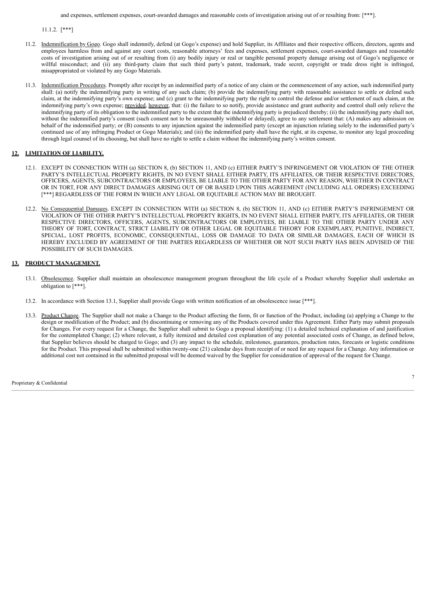and expenses, settlement expenses, court-awarded damages and reasonable costs of investigation arising out of or resulting from: [\*\*\*].

11.1.2. [\*\*\*]

- 11.2. Indemnification by Gogo. Gogo shall indemnify, defend (at Gogo's expense) and hold Supplier, its Affiliates and their respective officers, directors, agents and employees harmless from and against any court costs, reasonable attorneys' fees and expenses, settlement expenses, court-awarded damages and reasonable costs of investigation arising out of or resulting from (i) any bodily injury or real or tangible personal property damage arising out of Gogo's negligence or willful misconduct; and (ii) any third-party claim that such third party's patent, trademark, trade secret, copyright or trade dress right is infringed, misappropriated or violated by any Gogo Materials.
- 11.3. Indemnification Procedures. Promptly after receipt by an indemnified party of a notice of any claim or the commencement of any action, such indemnified party shall: (a) notify the indemnifying party in writing of any such claim; (b) provide the indemnifying party with reasonable assistance to settle or defend such claim, at the indemnifying party's own expense; and (c) grant to the indemnifying party the right to control the defense and/or settlement of such claim, at the indemnifying party's own expense; provided, however, that: (i) the failure to so notify, provide assistance and grant authority and control shall only relieve the indemnifying party of its obligation to the indemnified party to the extent that the indemnifying party is prejudiced thereby; (ii) the indemnifying party shall not, without the indemnified party's consent (such consent not to be unreasonably withheld or delayed), agree to any settlement that: (A) makes any admission on behalf of the indemnified party; or (B) consents to any injunction against the indemnified party (except an injunction relating solely to the indemnified party's continued use of any infringing Product or Gogo Materials); and (iii) the indemnified party shall have the right, at its expense, to monitor any legal proceeding through legal counsel of its choosing, but shall have no right to settle a claim without the indemnifying party's written consent.

#### **12. LIMITATION OF LIABILITY.**

- 12.1. EXCEPT IN CONNECTION WITH (a) SECTION 8, (b) SECTION 11, AND (c) EITHER PARTY'S INFRINGEMENT OR VIOLATION OF THE OTHER PARTY'S INTELLECTUAL PROPERTY RIGHTS, IN NO EVENT SHALL EITHER PARTY, ITS AFFILIATES, OR THEIR RESPECTIVE DIRECTORS, OFFICERS, AGENTS, SUBCONTRACTORS OR EMPLOYEES, BE LIABLE TO THE OTHER PARTY FOR ANY REASON, WHETHER IN CONTRACT OR IN TORT, FOR ANY DIRECT DAMAGES ARISING OUT OF OR BASED UPON THIS AGREEMENT (INCLUDING ALL ORDERS) EXCEEDING [\*\*\*] REGARDLESS OF THE FORM IN WHICH ANY LEGAL OR EQUITABLE ACTION MAY BE BROUGHT.
- 12.2. No Consequential Damages. EXCEPT IN CONNECTION WITH (a) SECTION 8, (b) SECTION 11, AND (c) EITHER PARTY'S INFRINGEMENT OR VIOLATION OF THE OTHER PARTY'S INTELLECTUAL PROPERTY RIGHTS, IN NO EVENT SHALL EITHER PARTY, ITS AFFILIATES, OR THEIR RESPECTIVE DIRECTORS, OFFICERS, AGENTS, SUBCONTRACTORS OR EMPLOYEES, BE LIABLE TO THE OTHER PARTY UNDER ANY THEORY OF TORT, CONTRACT, STRICT LIABILITY OR OTHER LEGAL OR EQUITABLE THEORY FOR EXEMPLARY, PUNITIVE, INDIRECT, SPECIAL, LOST PROFITS, ECONOMIC, CONSEQUENTIAL, LOSS OR DAMAGE TO DATA OR SIMILAR DAMAGES, EACH OF WHICH IS HEREBY EXCLUDED BY AGREEMENT OF THE PARTIES REGARDLESS OF WHETHER OR NOT SUCH PARTY HAS BEEN ADVISED OF THE POSSIBILITY OF SUCH DAMAGES.

#### **13. PRODUCT MANAGEMENT.**

- 13.1. Obsolescence. Supplier shall maintain an obsolescence management program throughout the life cycle of a Product whereby Supplier shall undertake an obligation to [\*\*\*].
- 13.2. In accordance with Section 13.1, Supplier shall provide Gogo with written notification of an obsolescence issue [\*\*\*].
- 13.3. Product Change. The Supplier shall not make a Change to the Product affecting the form, fit or function of the Product, including (a) applying a Change to the design or modification of the Product; and (b) discontinuing or removing any of the Products covered under this Agreement. Either Party may submit proposals for Changes. For every request for a Change, the Supplier shall submit to Gogo a proposal identifying: (1) a detailed technical explanation of and justification for the contemplated Change; (2) where relevant, a fully itemized and detailed cost explanation of any potential associated costs of Change, as defined below, that Supplier believes should be charged to Gogo; and (3) any impact to the schedule, milestones, guarantees, production rates, forecasts or logistic conditions for the Product. This proposal shall be submitted within twenty-one (21) calendar days from receipt of or need for any request for a Change. Any information or additional cost not contained in the submitted proposal will be deemed waived by the Supplier for consideration of approval of the request for Change.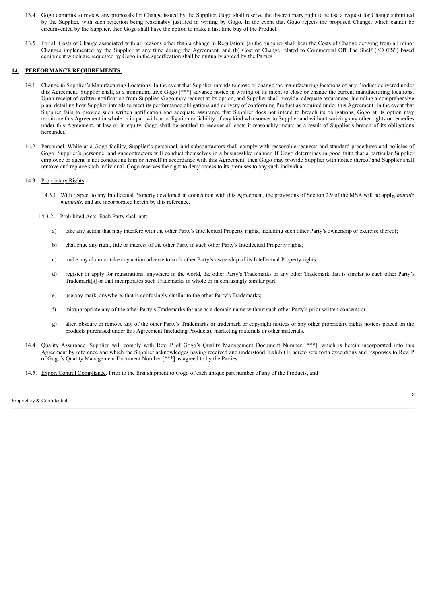- 13.4. Gogo commits to review any proposals for Change issued by the Supplier. Gogo shall reserve the discretionary right to refuse a request for Change submitted by the Supplier, with such rejection being reasonably justified in writing by Gogo. In the event that Gogo rejects the proposed Change, which cannot be circumvented by the Supplier, then Gogo shall have the option to make a last time buy of the Product.
- 13.5. For all Costs of Change associated with all reasons other than a change in Regulation: (a) the Supplier shall bear the Costs of Change deriving from all minor Changes implemented by the Supplier at any time during the Agreement, and (b) Cost of Change related to Commercial Off The Shelf ("COTS") based equipment which are requested by Gogo in the specification shall be mutually agreed by the Parties.

#### **14. PERFORMANCE REQUIREMENTS.**

- 14.1. Change in Supplier's Manufacturing Locations. In the event that Supplier intends to close or change the manufacturing locations of any Product delivered under this Agreement, Supplier shall, at a minimum, give Gogo [\*\*\*] advance notice in writing of its intent to close or change the current manufacturing locations. Upon receipt of written notification from Supplier, Gogo may request at its option, and Supplier shall provide, adequate assurances, including a comprehensive plan, detailing how Supplier intends to meet its performance obligations and delivery of conforming Product as required under this Agreement. In the event that Supplier fails to provide such written notification and adequate assurance that Supplier does not intend to breach its obligations, Gogo at its option may terminate this Agreement in whole or in part without obligation or liability of any kind whatsoever to Supplier and without waiving any other rights or remedies under this Agreement, at law or in equity. Gogo shall be entitled to recover all costs it reasonably incurs as a result of Supplier's breach of its obligations hereunder.
- 14.2. Personnel. While at a Gogo facility, Supplier's personnel, and subcontractors shall comply with reasonable requests and standard procedures and policies of Gogo. Supplier's personnel and subcontractors will conduct themselves in a businesslike manner. If Gogo determines in good faith that a particular Supplier employee or agent is not conducting him or herself in accordance with this Agreement, then Gogo may provide Supplier with notice thereof and Supplier shall remove and replace such individual. Gogo reserves the right to deny access to its premises to any such individual.

#### 14.3. Proprietary Rights.

- 14.3.1. With respect to any Intellectual Property developed in connection with this Agreement, the provisions of Section 2.9 of the MSA will be apply, *mutatis mutandis*, and are incorporated herein by this reference.
- 14.3.2. Prohibited Acts. Each Party shall not:
	- a) take any action that may interfere with the other Party's Intellectual Property rights, including such other Party's ownership or exercise thereof;
	- b) challenge any right, title or interest of the other Party in such other Party's Intellectual Property rights;
	- c) make any claim or take any action adverse to such other Party's ownership of its Intellectual Property rights;
	- d) register or apply for registrations, anywhere in the world, the other Party's Trademarks or any other Trademark that is similar to such other Party's Trademark[s] or that incorporates such Trademarks in whole or in confusingly similar part;
	- e) use any mark, anywhere, that is confusingly similar to the other Party's Trademarks;
	- f) misappropriate any of the other Party's Trademarks for use as a domain name without such other Party's prior written consent; or
	- g) alter, obscure or remove any of the other Party's Trademarks or trademark or copyright notices or any other proprietary rights notices placed on the products purchased under this Agreement (including Products), marketing materials or other materials.
- 14.4. Quality Assurance. Supplier will comply with Rev. P of Gogo's Quality Management Document Number [\*\*\*], which is herein incorporated into this Agreement by reference and which the Supplier acknowledges having received and understood. Exhibit E hereto sets forth exceptions and responses to Rev. P of Gogo's Quality Management Document Number [\*\*\*] as agreed to by the Parties.
- 14.5. Export Control Compliance. Prior to the first shipment to Gogo of each unique part number of any of the Products, and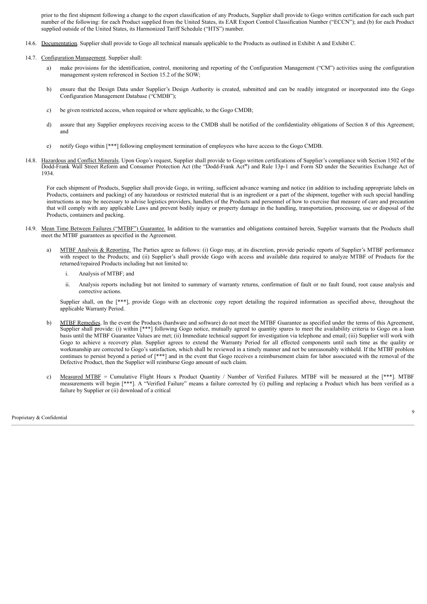prior to the first shipment following a change to the export classification of any Products, Supplier shall provide to Gogo written certification for each such part number of the following: for each Product supplied from the United States, its EAR Export Control Classification Number ("ECCN"); and (b) for each Product supplied outside of the United States, its Harmonized Tariff Schedule ("HTS") number.

- 14.6. Documentation. Supplier shall provide to Gogo all technical manuals applicable to the Products as outlined in Exhibit A and Exhibit C.
- 14.7. Configuration Management. Supplier shall:
	- a) make provisions for the identification, control, monitoring and reporting of the Configuration Management ("CM") activities using the configuration management system referenced in Section 15.2 of the SOW;
	- b) ensure that the Design Data under Supplier's Design Authority is created, submitted and can be readily integrated or incorporated into the Gogo Configuration Management Database ("CMDB");
	- c) be given restricted access, when required or where applicable, to the Gogo CMDB;
	- d) assure that any Supplier employees receiving access to the CMDB shall be notified of the confidentiality obligations of Section 8 of this Agreement; and
	- e) notify Gogo within [\*\*\*] following employment termination of employees who have access to the Gogo CMDB.
- 14.8. Hazardous and Conflict Minerals. Upon Gogo's request, Supplier shall provide to Gogo written certifications of Supplier's compliance with Section 1502 of the Dodd-Frank Wall Street Reform and Consumer Protection Act (the "Dodd-Frank Act**"**) and Rule 13p-1 and Form SD under the Securities Exchange Act of 1934.

For each shipment of Products, Supplier shall provide Gogo, in writing, sufficient advance warning and notice (in addition to including appropriate labels on Products, containers and packing) of any hazardous or restricted material that is an ingredient or a part of the shipment, together with such special handling instructions as may be necessary to advise logistics providers, handlers of the Products and personnel of how to exercise that measure of care and precaution that will comply with any applicable Laws and prevent bodily injury or property damage in the handling, transportation, processing, use or disposal of the Products, containers and packing.

- 14.9. Mean Time Between Failures ("MTBF") Guarantee. In addition to the warranties and obligations contained herein, Supplier warrants that the Products shall meet the MTBF guarantees as specified in the Agreement.
	- a) MTBF Analysis & Reporting. The Parties agree as follows: (i) Gogo may, at its discretion, provide periodic reports of Supplier's MTBF performance with respect to the Products; and (ii) Supplier's shall provide Gogo with access and available data required to analyze MTBF of Products for the returned/repaired Products including but not limited to:
		- i. Analysis of MTBF; and
		- ii. Analysis reports including but not limited to summary of warranty returns, confirmation of fault or no fault found, root cause analysis and corrective actions.

Supplier shall, on the [\*\*\*], provide Gogo with an electronic copy report detailing the required information as specified above, throughout the applicable Warranty Period.

- b) MTBF Remedies. In the event the Products (hardware and software) do not meet the MTBF Guarantee as specified under the terms of this Agreement, Supplier shall provide: (i) within [\*\*\*] following Gogo notice, mutually agreed to quantity spares to meet the availability criteria to Gogo on a loan basis until the MTBF Guarantee Values are met; (ii) Immediate technical support for investigation via telephone and email; (iii) Supplier will work with Gogo to achieve a recovery plan. Supplier agrees to extend the Warranty Period for all effected components until such time as the quality or workmanship are corrected to Gogo's satisfaction, which shall be reviewed in a timely manner and not be unreasonably withheld. If the MTBF problem continues to persist beyond a period of [\*\*\*] and in the event that Gogo receives a reimbursement claim for labor associated with the removal of the Defective Product, then the Supplier will reimburse Gogo amount of such claim.
- c) Measured MTBF = Cumulative Flight Hours x Product Quantity / Number of Verified Failures. MTBF will be measured at the [\*\*\*]. MTBF measurements will begin [\*\*\*]. A "Verified Failure" means a failure corrected by (i) pulling and replacing a Product which has been verified as a failure by Supplier or (ii) download of a critical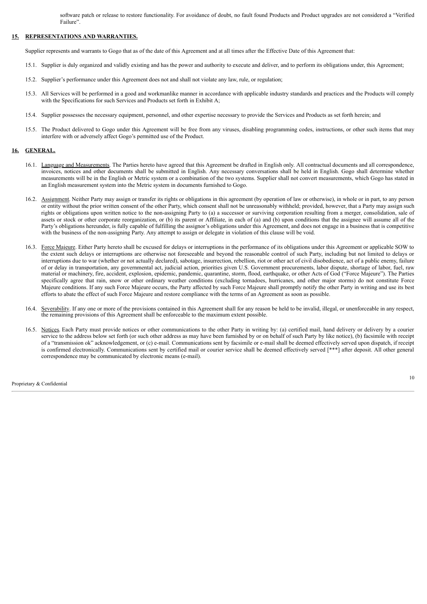software patch or release to restore functionality. For avoidance of doubt, no fault found Products and Product upgrades are not considered a "Verified Failure".

#### **15. REPRESENTATIONS AND WARRANTIES.**

Supplier represents and warrants to Gogo that as of the date of this Agreement and at all times after the Effective Date of this Agreement that:

- 15.1. Supplier is duly organized and validly existing and has the power and authority to execute and deliver, and to perform its obligations under, this Agreement;
- 15.2. Supplier's performance under this Agreement does not and shall not violate any law, rule, or regulation;
- 15.3. All Services will be performed in a good and workmanlike manner in accordance with applicable industry standards and practices and the Products will comply with the Specifications for such Services and Products set forth in Exhibit A;
- 15.4. Supplier possesses the necessary equipment, personnel, and other expertise necessary to provide the Services and Products as set forth herein; and
- 15.5. The Product delivered to Gogo under this Agreement will be free from any viruses, disabling programming codes, instructions, or other such items that may interfere with or adversely affect Gogo's permitted use of the Product.

#### **16. GENERAL.**

- 16.1. Language and Measurements. The Parties hereto have agreed that this Agreement be drafted in English only. All contractual documents and all correspondence, invoices, notices and other documents shall be submitted in English. Any necessary conversations shall be held in English. Gogo shall determine whether measurements will be in the English or Metric system or a combination of the two systems. Supplier shall not convert measurements, which Gogo has stated in an English measurement system into the Metric system in documents furnished to Gogo.
- 16.2. Assignment. Neither Party may assign or transfer its rights or obligations in this agreement (by operation of law or otherwise), in whole or in part, to any person or entity without the prior written consent of the other Party, which consent shall not be unreasonably withheld; provided, however, that a Party may assign such rights or obligations upon written notice to the non-assigning Party to (a) a successor or surviving corporation resulting from a merger, consolidation, sale of assets or stock or other corporate reorganization, or (b) its parent or Affiliate, in each of (a) and (b) upon conditions that the assignee will assume all of the Party's obligations hereunder, is fully capable of fulfilling the assignor's obligations under this Agreement, and does not engage in a business that is competitive with the business of the non-assigning Party. Any attempt to assign or delegate in violation of this clause will be void.
- 16.3. Force Majeure. Either Party hereto shall be excused for delays or interruptions in the performance of its obligations under this Agreement or applicable SOW to the extent such delays or interruptions are otherwise not foreseeable and beyond the reasonable control of such Party, including but not limited to delays or interruptions due to war (whether or not actually declared), sabotage, insurrection, rebellion, riot or other act of civil disobedience, act of a public enemy, failure of or delay in transportation, any governmental act, judicial action, priorities given U.S. Government procurements, labor dispute, shortage of labor, fuel, raw material or machinery, fire, accident, explosion, epidemic, pandemic, quarantine, storm, flood, earthquake, or other Acts of God ("Force Majeure"). The Parties specifically agree that rain, snow or other ordinary weather conditions (excluding tornadoes, hurricanes, and other major storms) do not constitute Force Majeure conditions. If any such Force Majeure occurs, the Party affected by such Force Majeure shall promptly notify the other Party in writing and use its best efforts to abate the effect of such Force Majeure and restore compliance with the terms of an Agreement as soon as possible.
- 16.4. Severability. If any one or more of the provisions contained in this Agreement shall for any reason be held to be invalid, illegal, or unenforceable in any respect, the remaining provisions of this Agreement shall be enforceable to the maximum extent possible.
- 16.5. Notices. Each Party must provide notices or other communications to the other Party in writing by: (a) certified mail, hand delivery or delivery by a courier service to the address below set forth (or such other address as may have been furnished by or on behalf of such Party by like notice), (b) facsimile with receipt of a "transmission ok" acknowledgement, or (c) e-mail. Communications sent by facsimile or e-mail shall be deemed effectively served upon dispatch, if receipt is confirmed electronically. Communications sent by certified mail or courier service shall be deemed effectively served [\*\*\*] after deposit. All other general correspondence may be communicated by electronic means (e-mail).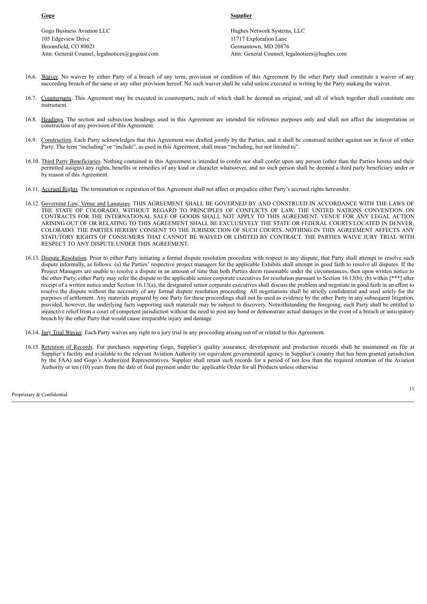Gogo Business Aviation LLC **Hughes Network Systems, LLC** 105 Edgeview Drive Broomfield, CO 80021 Attn: General Counsel, legalnotices@gogoair.com

**Gogo Supplier**

11717 Exploration Lane Germantown, MD 20876 Attn: General Counsel, legalnotices@hughes.com

- 16.6. Waiver. No waiver by either Party of a breach of any term, provision or condition of this Agreement by the other Party shall constitute a waiver of any succeeding breach of the same or any other provision hereof. No such waiver shall be valid unless executed in writing by the Party making the waiver.
- 16.7. Counterparts. This Agreement may be executed in counterparts, each of which shall be deemed an original, and all of which together shall constitute one instrument.
- 16.8. Headings. The section and subsection headings used in this Agreement are intended for reference purposes only and shall not affect the interpretation or construction of any provision of this Agreement.
- 16.9. Construction. Each Party acknowledges that this Agreement was drafted jointly by the Parties, and it shall be construed neither against nor in favor of either Party. The term "including" or "include", as used in this Agreement, shall mean "including, but not limited to".
- 16.10. Third Party Beneficiaries. Nothing contained in this Agreement is intended to confer nor shall confer upon any person (other than the Parties hereto and their permitted assigns) any rights, benefits or remedies of any kind or character whatsoever, and no such person shall be deemed a third party beneficiary under or by reason of this Agreement.
- 16.11. Accrued Rights. The termination or expiration of this Agreement shall not affect or prejudice either Party's accrued rights hereunder.
- 16.12. Governing Law, Venue and Language. THIS AGREEMENT SHALL BE GOVERNED BY AND CONSTRUED IN ACCORDANCE WITH THE LAWS OF THE STATE OF COLORADO, WITHOUT REGARD TO PRINCIPLES OF CONFLICTS OF LAW. THE UNITED NATIONS CONVENTION ON CONTRACTS FOR THE INTERNATIONAL SALE OF GOODS SHALL NOT APPLY TO THIS AGREEMENT. VENUE FOR ANY LEGAL ACTION ARISING OUT OF OR RELATING TO THIS AGREEMENT SHALL BE EXCLUSIVELY THE STATE OR FEDERAL COURTS LOCATED IN DENVER, COLORADO. THE PARTIES HEREBY CONSENT TO THE JURISDICTION OF SUCH COURTS. NOTHING IN THIS AGREEMENT AFFECTS ANY STATUTORY RIGHTS OF CONSUMERS THAT CANNOT BE WAIVED OR LIMITED BY CONTRACT. THE PARTIES WAIVE JURY TRIAL WITH RESPECT TO ANY DISPUTE UNDER THIS AGREEMENT.
- 16.13. Dispute Resolution. Prior to either Party initiating a formal dispute resolution procedure with respect to any dispute, that Party shall attempt to resolve such dispute informally, as follows: (a) the Parties' respective project managers for the applicable Exhibits shall attempt in good faith to resolve all disputes. If the Project Managers are unable to resolve a dispute in an amount of time that both Parties deem reasonable under the circumstances, then upon written notice to the other Party, either Party may refer the dispute to the applicable senior corporate executives for resolution pursuant to Section 16.13(b); (b) within [\*\*\*] after receipt of a written notice under Section 16.13(a), the designated senior corporate executives shall discuss the problem and negotiate in good faith in an effort to resolve the dispute without the necessity of any formal dispute resolution proceeding. All negotiations shall be strictly confidential and used solely for the purposes of settlement. Any materials prepared by one Party for these proceedings shall not be used as evidence by the other Party in any subsequent litigation, provided, however, the underlying facts supporting such materials may be subject to discovery. Notwithstanding the foregoing, each Party shall be entitled to injunctive relief from a court of competent jurisdiction without the need to post any bond or demonstrate actual damages in the event of a breach or anticipatory breach by the other Party that would cause irreparable injury and damage.
- 16.14. Jury Trial Wavier. Each Party waives any right to a jury trial in any proceeding arising out of or related to this Agreement.
- 16.15. Retention of Records. For purchases supporting Gogo, Supplier's quality assurance, development and production records shall be maintained on file at Supplier's facility and available to the relevant Aviation Authority (or equivalent governmental agency in Supplier's country that has been granted jurisdiction by the FAA) and Gogo's Authorized Representatives. Supplier shall retain such records for a period of not less than the required retention of the Aviation Authority or ten (10) years from the date of final payment under the· applicable Order for all Products unless otherwise

Proprietary & Confidential